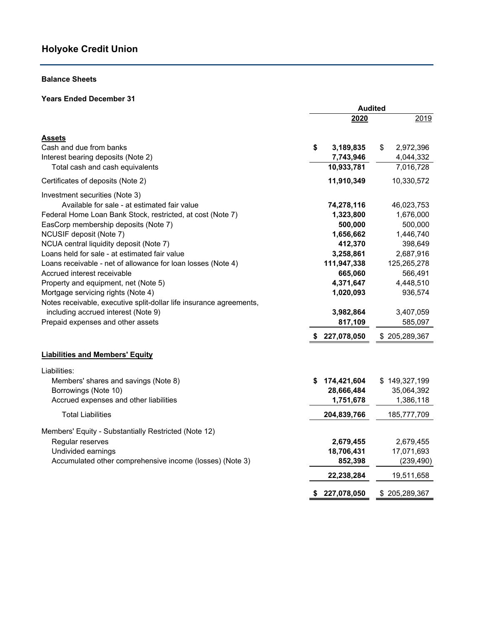## **Balance Sheets**

## **Years Ended December 31**

|                                                                     | <b>Audited</b> |                        |    |                        |
|---------------------------------------------------------------------|----------------|------------------------|----|------------------------|
|                                                                     |                | 2020                   |    | 2019                   |
| Assets                                                              |                |                        |    |                        |
| Cash and due from banks<br>Interest bearing deposits (Note 2)       | \$             | 3,189,835<br>7,743,946 | \$ | 2,972,396<br>4,044,332 |
| Total cash and cash equivalents                                     |                | 10,933,781             |    | 7,016,728              |
| Certificates of deposits (Note 2)                                   |                | 11,910,349             |    | 10,330,572             |
| Investment securities (Note 3)                                      |                |                        |    |                        |
| Available for sale - at estimated fair value                        |                | 74,278,116             |    | 46,023,753             |
| Federal Home Loan Bank Stock, restricted, at cost (Note 7)          |                | 1,323,800              |    | 1,676,000              |
| EasCorp membership deposits (Note 7)                                |                | 500,000                |    | 500,000                |
| NCUSIF deposit (Note 7)                                             |                | 1,656,662              |    | 1,446,740              |
| NCUA central liquidity deposit (Note 7)                             |                | 412,370                |    | 398,649                |
| Loans held for sale - at estimated fair value                       |                | 3,258,861              |    | 2,687,916              |
| Loans receivable - net of allowance for loan losses (Note 4)        |                | 111,947,338            |    | 125,265,278            |
| Accrued interest receivable                                         |                | 665,060                |    | 566,491                |
| Property and equipment, net (Note 5)                                |                | 4,371,647              |    | 4,448,510              |
| Mortgage servicing rights (Note 4)                                  |                | 1,020,093              |    | 936,574                |
| Notes receivable, executive split-dollar life insurance agreements, |                |                        |    |                        |
| including accrued interest (Note 9)                                 |                | 3,982,864              |    | 3,407,059              |
| Prepaid expenses and other assets                                   |                | 817,109                |    | 585,097                |
|                                                                     |                | \$227,078,050          |    | \$205,289,367          |
| <b>Liabilities and Members' Equity</b>                              |                |                        |    |                        |
| Liabilities:                                                        |                |                        |    |                        |
| Members' shares and savings (Note 8)                                | S              | 174,421,604            |    | \$149,327,199          |
| Borrowings (Note 10)                                                |                | 28,666,484             |    | 35,064,392             |
| Accrued expenses and other liabilities                              |                | 1,751,678              |    | 1,386,118              |
| <b>Total Liabilities</b>                                            |                | 204,839,766            |    | 185,777,709            |
| Members' Equity - Substantially Restricted (Note 12)                |                |                        |    |                        |
| Regular reserves                                                    |                | 2,679,455              |    | 2,679,455              |
| Undivided earnings                                                  |                | 18,706,431             |    | 17,071,693             |
| Accumulated other comprehensive income (losses) (Note 3)            |                | 852,398                |    | (239, 490)             |
|                                                                     |                | 22,238,284             |    | 19,511,658             |
|                                                                     | \$             | 227,078,050            |    | \$205,289,367          |